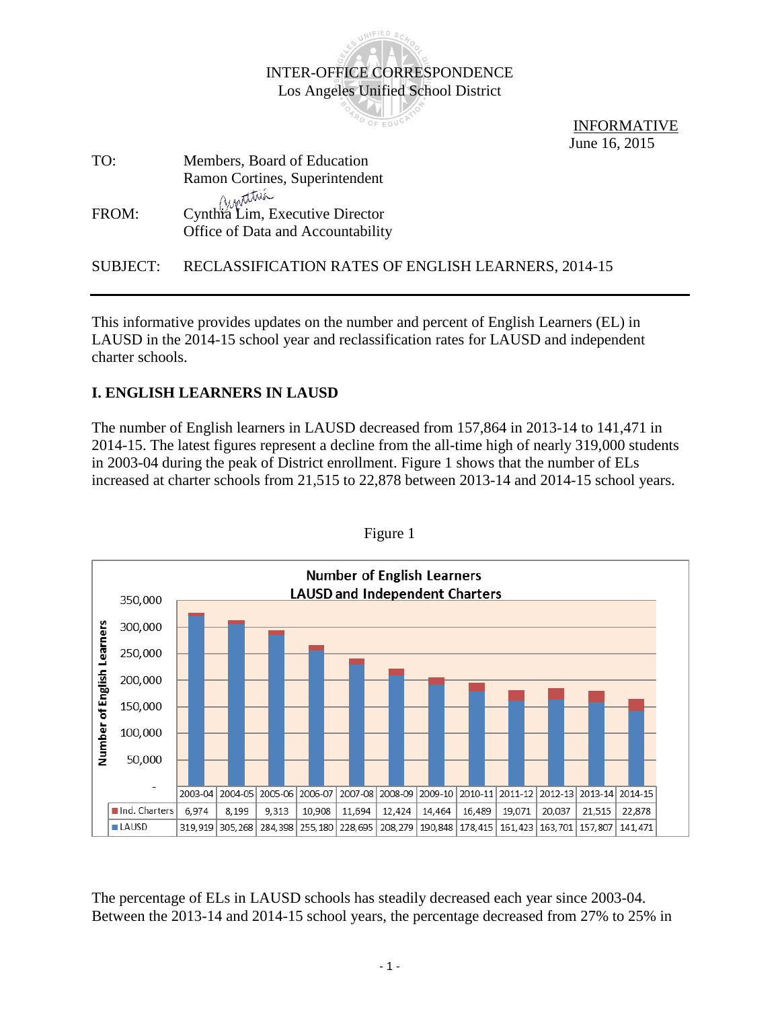

 INFORMATIVE June 16, 2015

| TO:   | Members, Board of Education                                          |  |
|-------|----------------------------------------------------------------------|--|
|       | Ramon Cortines, Superintendent                                       |  |
| FROM: | Cynthia Lim, Executive Director<br>Office of Data and Accountability |  |

SUBJECT: RECLASSIFICATION RATES OF ENGLISH LEARNERS, 2014-15

This informative provides updates on the number and percent of English Learners (EL) in LAUSD in the 2014-15 school year and reclassification rates for LAUSD and independent charter schools.

## **I. ENGLISH LEARNERS IN LAUSD**

The number of English learners in LAUSD decreased from 157,864 in 2013-14 to 141,471 in 2014-15. The latest figures represent a decline from the all-time high of nearly 319,000 students in 2003-04 during the peak of District enrollment. Figure 1 shows that the number of ELs increased at charter schools from 21,515 to 22,878 between 2013-14 and 2014-15 school years.



Figure 1

The percentage of ELs in LAUSD schools has steadily decreased each year since 2003-04. Between the 2013-14 and 2014-15 school years, the percentage decreased from 27% to 25% in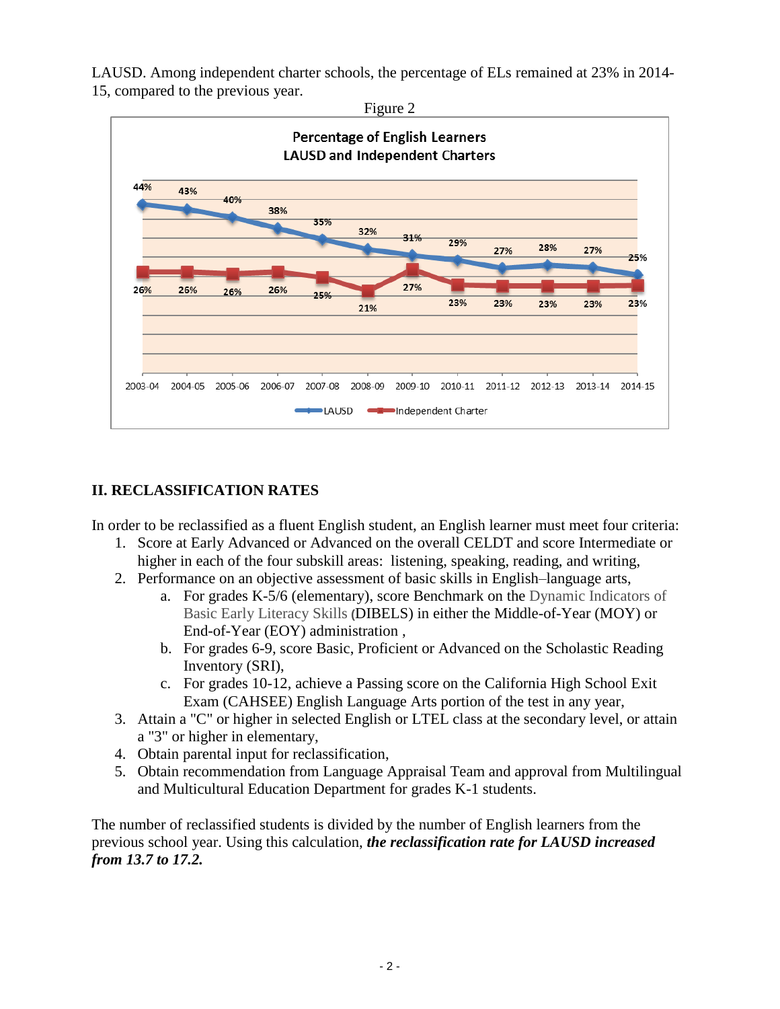LAUSD. Among independent charter schools, the percentage of ELs remained at 23% in 2014- 15, compared to the previous year.



## **II. RECLASSIFICATION RATES**

In order to be reclassified as a fluent English student, an English learner must meet four criteria:

- 1. Score at Early Advanced or Advanced on the overall CELDT and score Intermediate or higher in each of the four subskill areas: listening, speaking, reading, and writing,
- 2. Performance on an objective assessment of basic skills in English–language arts,
	- a. For grades K-5/6 (elementary), score Benchmark on the Dynamic Indicators of Basic Early Literacy Skills **(**DIBELS) in either the Middle-of-Year (MOY) or End-of-Year (EOY) administration ,
	- b. For grades 6-9, score Basic, Proficient or Advanced on the Scholastic Reading Inventory (SRI),
	- c. For grades 10-12, achieve a Passing score on the California High School Exit Exam (CAHSEE) English Language Arts portion of the test in any year,
- 3. Attain a "C" or higher in selected English or LTEL class at the secondary level, or attain a "3" or higher in elementary,
- 4. Obtain parental input for reclassification,
- 5. Obtain recommendation from Language Appraisal Team and approval from Multilingual and Multicultural Education Department for grades K-1 students.

The number of reclassified students is divided by the number of English learners from the previous school year. Using this calculation, *the reclassification rate for LAUSD increased from 13.7 to 17.2.*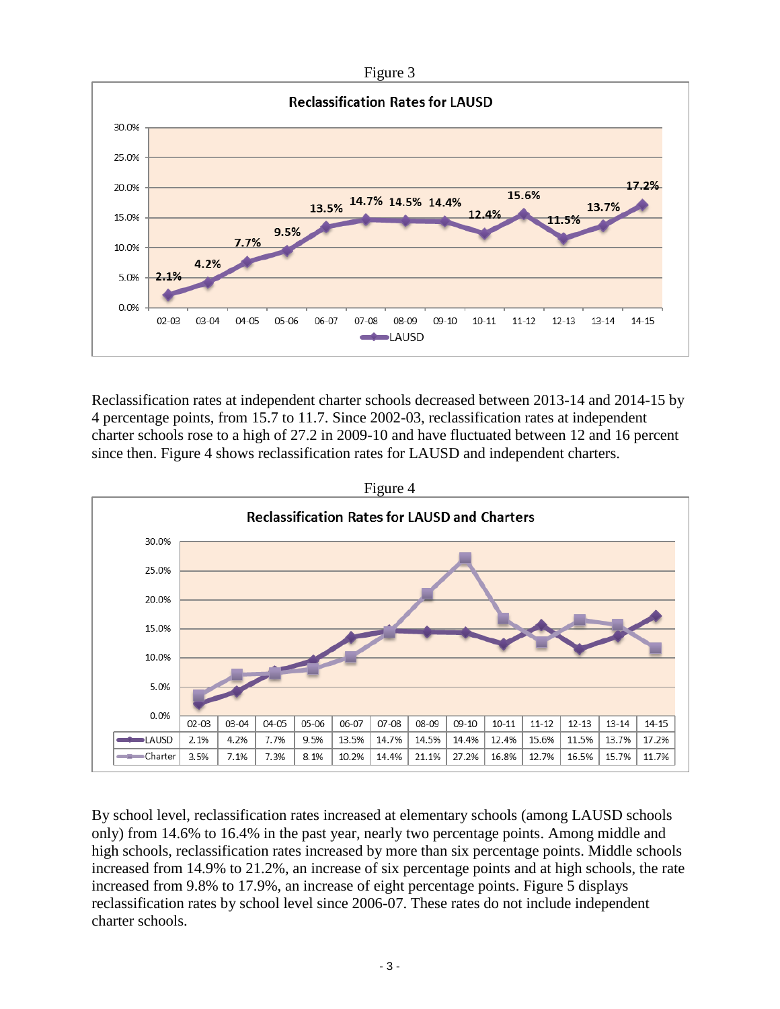

Reclassification rates at independent charter schools decreased between 2013-14 and 2014-15 by 4 percentage points, from 15.7 to 11.7. Since 2002-03, reclassification rates at independent charter schools rose to a high of 27.2 in 2009-10 and have fluctuated between 12 and 16 percent since then. Figure 4 shows reclassification rates for LAUSD and independent charters.



By school level, reclassification rates increased at elementary schools (among LAUSD schools only) from 14.6% to 16.4% in the past year, nearly two percentage points. Among middle and high schools, reclassification rates increased by more than six percentage points. Middle schools increased from 14.9% to 21.2%, an increase of six percentage points and at high schools, the rate increased from 9.8% to 17.9%, an increase of eight percentage points. Figure 5 displays reclassification rates by school level since 2006-07. These rates do not include independent charter schools.